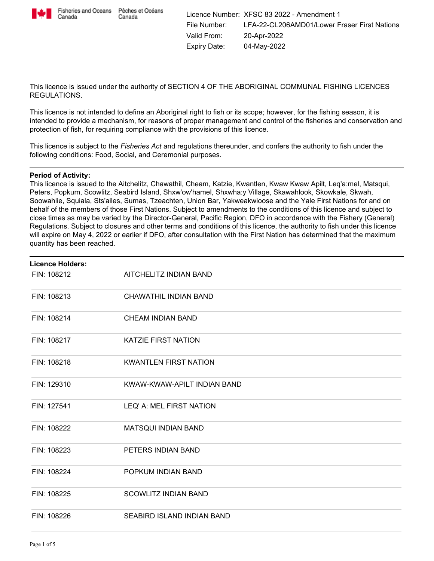

Canada

This licence is issued under the authority of SECTION 4 OF THE ABORIGINAL COMMUNAL FISHING LICENCES REGULATIONS.

This licence is not intended to define an Aboriginal right to fish or its scope; however, for the fishing season, it is intended to provide a mechanism, for reasons of proper management and control of the fisheries and conservation and protection of fish, for requiring compliance with the provisions of this licence.

This licence is subject to the *Fisheries Act* and regulations thereunder, and confers the authority to fish under the following conditions: Food, Social, and Ceremonial purposes.

## **Period of Activity:**

This licence is issued to the Aitchelitz, Chawathil, Cheam, Katzie, Kwantlen, Kwaw Kwaw Apilt, Leq'a:mel, Matsqui, Peters, Popkum, Scowlitz, Seabird Island, Shxw'ow'hamel, Shxwha:y Village, Skawahlook, Skowkale, Skwah, Soowahlie, Squiala, Sts'ailes, Sumas, Tzeachten, Union Bar, Yakweakwioose and the Yale First Nations for and on behalf of the members of those First Nations. Subject to amendments to the conditions of this licence and subject to close times as may be varied by the Director-General, Pacific Region, DFO in accordance with the Fishery (General) Regulations. Subject to closures and other terms and conditions of this licence, the authority to fish under this licence will expire on May 4, 2022 or earlier if DFO, after consultation with the First Nation has determined that the maximum quantity has been reached.

| <b>Licence Holders:</b> |                              |  |
|-------------------------|------------------------------|--|
| FIN: 108212             | AITCHELITZ INDIAN BAND       |  |
| FIN: 108213             | CHAWATHIL INDIAN BAND        |  |
| FIN: 108214             | <b>CHEAM INDIAN BAND</b>     |  |
| FIN: 108217             | <b>KATZIE FIRST NATION</b>   |  |
| FIN: 108218             | <b>KWANTLEN FIRST NATION</b> |  |
| FIN: 129310             | KWAW-KWAW-APILT INDIAN BAND  |  |
| FIN: 127541             | LEQ' A: MEL FIRST NATION     |  |
| FIN: 108222             | <b>MATSQUI INDIAN BAND</b>   |  |
| FIN: 108223             | PETERS INDIAN BAND           |  |
| FIN: 108224             | POPKUM INDIAN BAND           |  |
| FIN: 108225             | <b>SCOWLITZ INDIAN BAND</b>  |  |
| FIN: 108226             | SEABIRD ISLAND INDIAN BAND   |  |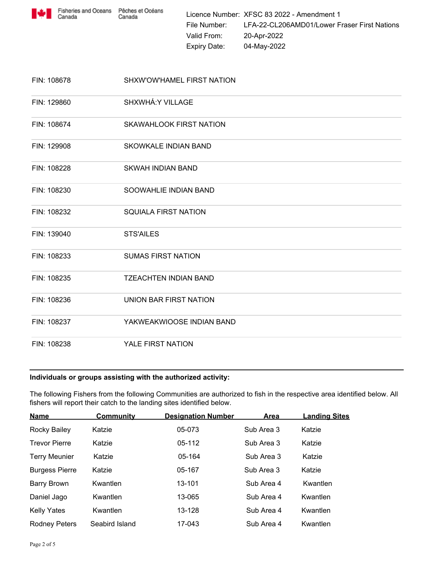

Licence Number: XFSC 83 2022 - Amendment 1 File Number: LFA-22-CL206AMD01/Lower Fraser First Nations Valid From: 20-Apr-2022 Expiry Date: 04-May-2022

| FIN: 108678 | SHXW'OW'HAMEL FIRST NATION     |
|-------------|--------------------------------|
| FIN: 129860 | SHXWHÁ: Y VILLAGE              |
| FIN: 108674 | <b>SKAWAHLOOK FIRST NATION</b> |
| FIN: 129908 | <b>SKOWKALE INDIAN BAND</b>    |
| FIN: 108228 | SKWAH INDIAN BAND              |
| FIN: 108230 | SOOWAHLIE INDIAN BAND          |
| FIN: 108232 | <b>SQUIALA FIRST NATION</b>    |
| FIN: 139040 | <b>STS'AILES</b>               |
| FIN: 108233 | <b>SUMAS FIRST NATION</b>      |
| FIN: 108235 | <b>TZEACHTEN INDIAN BAND</b>   |
| FIN: 108236 | UNION BAR FIRST NATION         |
| FIN: 108237 | YAKWEAKWIOOSE INDIAN BAND      |
| FIN: 108238 | YALE FIRST NATION              |

## **Individuals or groups assisting with the authorized activity:**

The following Fishers from the following Communities are authorized to fish in the respective area identified below. All fishers will report their catch to the landing sites identified below.

| <b>Name</b>           | <b>Community</b> | <b>Designation Number</b> | <b>Area</b> | <b>Landing Sites</b> |
|-----------------------|------------------|---------------------------|-------------|----------------------|
| Rocky Bailey          | Katzie           | 05-073                    | Sub Area 3  | Katzie               |
| <b>Trevor Pierre</b>  | Katzie           | $05-112$                  | Sub Area 3  | Katzie               |
| <b>Terry Meunier</b>  | Katzie           | 05-164                    | Sub Area 3  | Katzie               |
| <b>Burgess Pierre</b> | Katzie           | 05-167                    | Sub Area 3  | Katzie               |
| <b>Barry Brown</b>    | Kwantlen         | 13-101                    | Sub Area 4  | Kwantlen             |
| Daniel Jago           | Kwantlen         | 13-065                    | Sub Area 4  | Kwantlen             |
| <b>Kelly Yates</b>    | Kwantlen         | 13-128                    | Sub Area 4  | Kwantlen             |
| <b>Rodney Peters</b>  | Seabird Island   | 17-043                    | Sub Area 4  | Kwantlen             |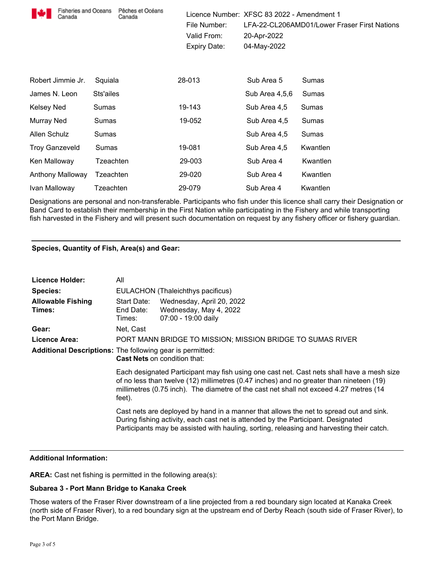| <b>Fisheries and Oceans</b><br>Canada | Pêches et Océans<br>Canada | File Number:<br>Valid From:<br><b>Expiry Date:</b> | Licence Number: XFSC 83 2022 - Amendment 1<br>20-Apr-2022<br>04-May-2022 | LFA-22-CL206AMD01/Lower Fraser First Nations |
|---------------------------------------|----------------------------|----------------------------------------------------|--------------------------------------------------------------------------|----------------------------------------------|
| Robert Jimmie Jr.                     | Squiala                    | 28-013                                             | Sub Area 5                                                               | Sumas                                        |
| James N. Leon                         | Sts'ailes                  |                                                    | Sub Area 4,5,6                                                           | Sumas                                        |
| Kelsey Ned                            | Sumas                      | 19-143                                             | Sub Area 4,5                                                             | Sumas                                        |
| Murray Ned                            | Sumas                      | 19-052                                             | Sub Area 4,5                                                             | Sumas                                        |
| Allen Schulz                          | Sumas                      |                                                    | Sub Area 4,5                                                             | Sumas                                        |
| <b>Troy Ganzeveld</b>                 | Sumas                      | 19-081                                             | Sub Area 4,5                                                             | Kwantlen                                     |
| Ken Malloway                          | Tzeachten                  | 29-003                                             | Sub Area 4                                                               | Kwantlen                                     |
| Anthony Malloway                      | Tzeachten                  | 29-020                                             | Sub Area 4                                                               | Kwantlen                                     |
| Ivan Malloway                         | Tzeachten                  | 29-079                                             | Sub Area 4                                                               | Kwantlen                                     |

Designations are personal and non-transferable. Participants who fish under this licence shall carry their Designation or Band Card to establish their membership in the First Nation while participating in the Fishery and while transporting fish harvested in the Fishery and will present such documentation on request by any fishery officer or fishery guardian.

# **Species, Quantity of Fish, Area(s) and Gear:**

| Licence Holder:                                                  | All                                                                                                                                                                                                                                                                                      |                                                                                                                                                                                                                                                                          |  |
|------------------------------------------------------------------|------------------------------------------------------------------------------------------------------------------------------------------------------------------------------------------------------------------------------------------------------------------------------------------|--------------------------------------------------------------------------------------------------------------------------------------------------------------------------------------------------------------------------------------------------------------------------|--|
| <b>Species:</b>                                                  | EULACHON (Thaleichthys pacificus)                                                                                                                                                                                                                                                        |                                                                                                                                                                                                                                                                          |  |
| <b>Allowable Fishing</b><br>Times:                               | Start Date:<br>End Date:<br>Times:                                                                                                                                                                                                                                                       | Wednesday, April 20, 2022<br>Wednesday, May 4, 2022<br>07:00 - 19:00 daily                                                                                                                                                                                               |  |
| Gear:                                                            | Net, Cast                                                                                                                                                                                                                                                                                |                                                                                                                                                                                                                                                                          |  |
| Licence Area:                                                    |                                                                                                                                                                                                                                                                                          | PORT MANN BRIDGE TO MISSION; MISSION BRIDGE TO SUMAS RIVER                                                                                                                                                                                                               |  |
| <b>Additional Descriptions:</b> The following gear is permitted: |                                                                                                                                                                                                                                                                                          | <b>Cast Nets on condition that:</b>                                                                                                                                                                                                                                      |  |
|                                                                  | Each designated Participant may fish using one cast net. Cast nets shall have a mesh size<br>of no less than twelve (12) millimetres (0.47 inches) and no greater than nineteen (19)<br>millimetres (0.75 inch). The diametre of the cast net shall not exceed 4.27 metres (14<br>feet). |                                                                                                                                                                                                                                                                          |  |
|                                                                  |                                                                                                                                                                                                                                                                                          | Cast nets are deployed by hand in a manner that allows the net to spread out and sink.<br>During fishing activity, each cast net is attended by the Participant. Designated<br>Participants may be assisted with hauling, sorting, releasing and harvesting their catch. |  |

## **Additional Information:**

**AREA:** Cast net fishing is permitted in the following area(s):

## **Subarea 3 - Port Mann Bridge to Kanaka Creek**

Those waters of the Fraser River downstream of a line projected from a red boundary sign located at Kanaka Creek (north side of Fraser River), to a red boundary sign at the upstream end of Derby Reach (south side of Fraser River), to the Port Mann Bridge.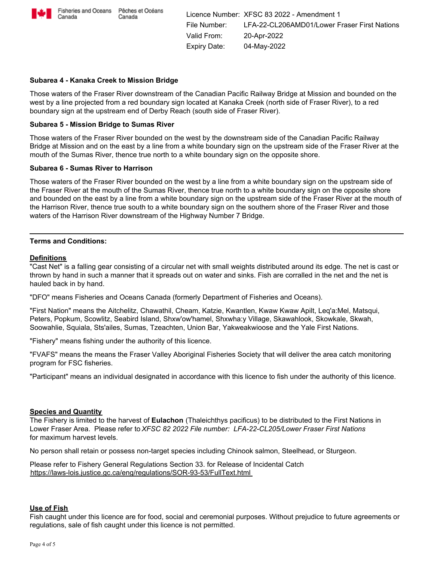

Canada

Licence Number: XFSC 83 2022 - Amendment 1 File Number: LFA-22-CL206AMD01/Lower Fraser First Nations Valid From: 20-Apr-2022 Expiry Date: 04-May-2022

## **Subarea 4 - Kanaka Creek to Mission Bridge**

Those waters of the Fraser River downstream of the Canadian Pacific Railway Bridge at Mission and bounded on the west by a line projected from a red boundary sign located at Kanaka Creek (north side of Fraser River), to a red boundary sign at the upstream end of Derby Reach (south side of Fraser River).

## **Subarea 5 - Mission Bridge to Sumas River**

Those waters of the Fraser River bounded on the west by the downstream side of the Canadian Pacific Railway Bridge at Mission and on the east by a line from a white boundary sign on the upstream side of the Fraser River at the mouth of the Sumas River, thence true north to a white boundary sign on the opposite shore.

### **Subarea 6 - Sumas River to Harrison**

Those waters of the Fraser River bounded on the west by a line from a white boundary sign on the upstream side of the Fraser River at the mouth of the Sumas River, thence true north to a white boundary sign on the opposite shore and bounded on the east by a line from a white boundary sign on the upstream side of the Fraser River at the mouth of the Harrison River, thence true south to a white boundary sign on the southern shore of the Fraser River and those waters of the Harrison River downstream of the Highway Number 7 Bridge.

### **Terms and Conditions:**

## **Definitions**

"Cast Net" is a falling gear consisting of a circular net with small weights distributed around its edge. The net is cast or thrown by hand in such a manner that it spreads out on water and sinks. Fish are corralled in the net and the net is hauled back in by hand.

"DFO" means Fisheries and Oceans Canada (formerly Department of Fisheries and Oceans).

"First Nation" means the Aitchelitz, Chawathil, Cheam, Katzie, Kwantlen, Kwaw Kwaw Apilt, Leq'a:Mel, Matsqui, Peters, Popkum, Scowlitz, Seabird Island, Shxw'ow'hamel, Shxwha:y Village, Skawahlook, Skowkale, Skwah, Soowahlie, Squiala, Sts'ailes, Sumas, Tzeachten, Union Bar, Yakweakwioose and the Yale First Nations.

"Fishery" means fishing under the authority of this licence.

"FVAFS" means the means the Fraser Valley Aboriginal Fisheries Society that will deliver the area catch monitoring program for FSC fisheries.

"Participant" means an individual designated in accordance with this licence to fish under the authority of this licence.

### **Species and Quantity**

The Fishery is limited to the harvest of **Eulachon** (Thaleichthys pacificus) to be distributed to the First Nations in Lower Fraser Area. Please refer to *XFSC 82 2022 File number: LFA-22-CL205/Lower Fraser First Nations* for maximum harvest levels.

No person shall retain or possess non-target species including Chinook salmon, Steelhead, or Sturgeon.

Please refer to Fishery General Regulations Section 33. for Release of Incidental Catch https://laws-lois.justice.gc.ca/eng/regulations/SOR-93-53/FullText.html

#### **Use of Fish**

Fish caught under this licence are for food, social and ceremonial purposes. Without prejudice to future agreements or regulations, sale of fish caught under this licence is not permitted.